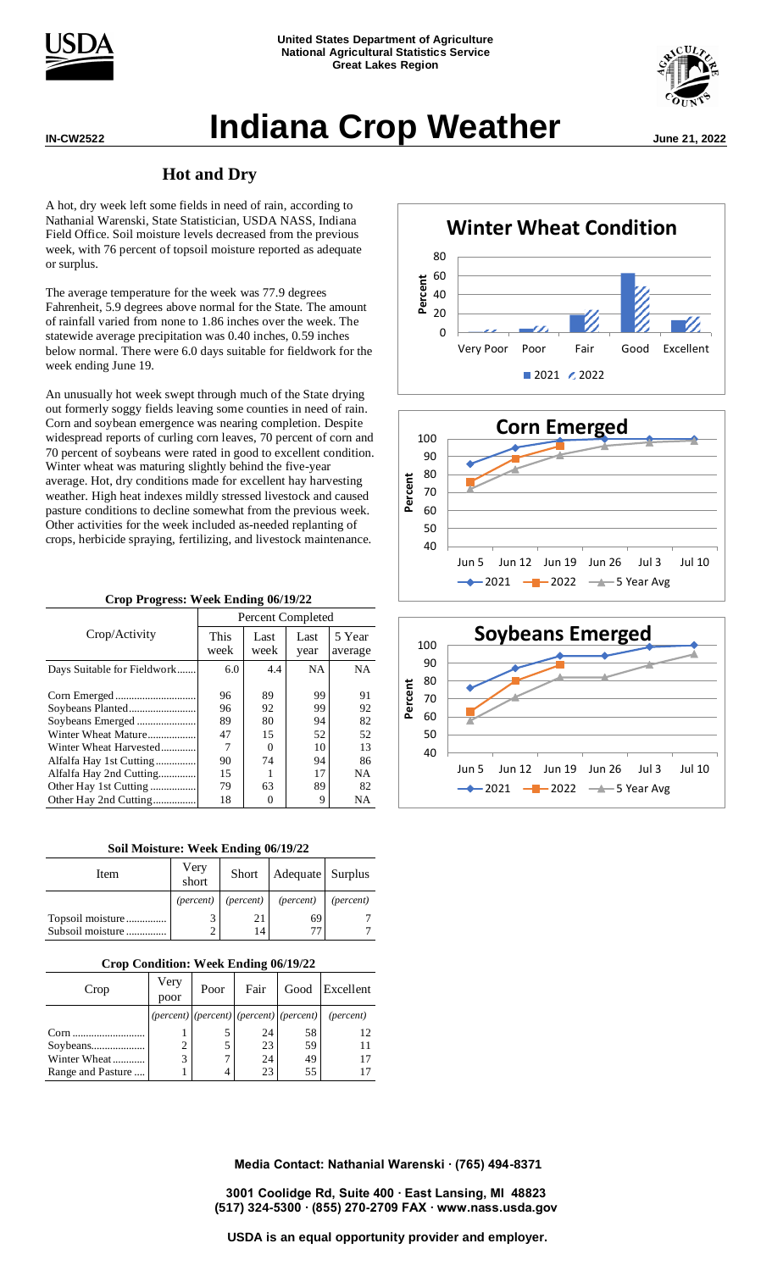

## **Indiana Crop Weather June 21, 2022**

## **Hot and Dry**

A hot, dry week left some fields in need of rain, according to Nathanial Warenski, State Statistician, USDA NASS, Indiana Field Office. Soil moisture levels decreased from the previous week, with 76 percent of topsoil moisture reported as adequate or surplus.

The average temperature for the week was 77.9 degrees Fahrenheit, 5.9 degrees above normal for the State. The amount of rainfall varied from none to 1.86 inches over the week. The statewide average precipitation was 0.40 inches, 0.59 inches below normal. There were 6.0 days suitable for fieldwork for the week ending June 19.

An unusually hot week swept through much of the State drying out formerly soggy fields leaving some counties in need of rain. Corn and soybean emergence was nearing completion. Despite widespread reports of curling corn leaves, 70 percent of corn and 70 percent of soybeans were rated in good to excellent condition. Winter wheat was maturing slightly behind the five-year average. Hot, dry conditions made for excellent hay harvesting weather. High heat indexes mildly stressed livestock and caused pasture conditions to decline somewhat from the previous week. Other activities for the week included as-needed replanting of crops, herbicide spraying, fertilizing, and livestock maintenance.

| Crop Progress: Week Ending 06/19/22 |  |  |
|-------------------------------------|--|--|
|                                     |  |  |

|                             | Percent Completed   |              |              |                   |  |  |  |  |  |  |
|-----------------------------|---------------------|--------------|--------------|-------------------|--|--|--|--|--|--|
| Crop/Activity               | <b>This</b><br>week | Last<br>week | Last<br>year | 5 Year<br>average |  |  |  |  |  |  |
| Days Suitable for Fieldwork | 6.0                 | 4.4          | <b>NA</b>    | <b>NA</b>         |  |  |  |  |  |  |
|                             | 96                  | 89           | 99           | 91                |  |  |  |  |  |  |
|                             | 96                  | 92           | 99           | 92                |  |  |  |  |  |  |
| Soybeans Emerged            | 89                  | 80           | 94           | 82                |  |  |  |  |  |  |
| Winter Wheat Mature         | 47                  | 15           | 52           | 52                |  |  |  |  |  |  |
| Winter Wheat Harvested      | 7                   | 0            | 10           | 13                |  |  |  |  |  |  |
|                             | 90                  | 74           | 94           | 86                |  |  |  |  |  |  |
|                             | 15                  |              | 17           | <b>NA</b>         |  |  |  |  |  |  |
|                             | 79                  | 63           | 89           | 82                |  |  |  |  |  |  |
|                             | 18                  | $\theta$     | 9            | <b>NA</b>         |  |  |  |  |  |  |

| Item                                 | Very<br>short      |          | Short   Adequate   Surplus          |  |  |  |
|--------------------------------------|--------------------|----------|-------------------------------------|--|--|--|
|                                      | $(\text{percent})$ |          | $(percent)$ $(percent)$ $(percent)$ |  |  |  |
| Topsoil moisture<br>Subsoil moisture |                    | 21<br>14 | 69                                  |  |  |  |

## **Crop Condition: Week Ending 06/19/22**

| Crop              | Very<br>poor | Poor | Fair |                                                  | Good Excellent     |  |  |  |
|-------------------|--------------|------|------|--------------------------------------------------|--------------------|--|--|--|
|                   |              |      |      | $((percent)   (percent)   (percent)   (percent)$ | ( <i>percent</i> ) |  |  |  |
| $Corn$            |              |      | 24   | 58                                               | 12                 |  |  |  |
| Soybeans          |              |      | 23   | 59                                               |                    |  |  |  |
| Winter Wheat      | 3            |      | 24   | 49                                               |                    |  |  |  |
| Range and Pasture |              |      | 23   | 55                                               |                    |  |  |  |







**Media Contact: Nathanial Warenski ∙ (765) 494-8371**

**3001 Coolidge Rd, Suite 400 ∙ East Lansing, MI 48823 (517) 324-5300 ∙ (855) 270-2709 FAX ∙ www.nass.usda.gov**

**USDA is an equal opportunity provider and employer.**